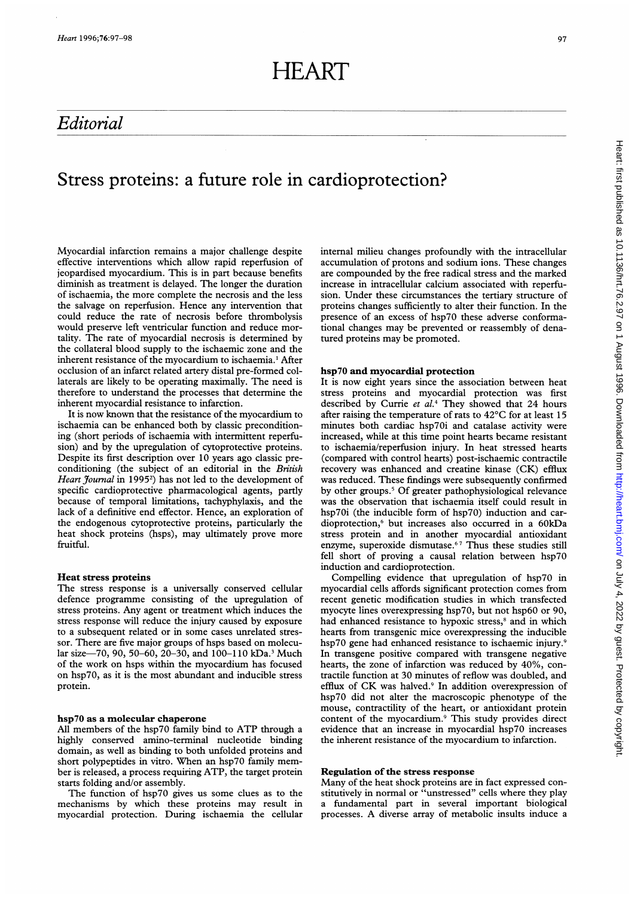# Editorial

# **97**

### internal milieu changes profoundly with the intracellular accumulation of protons and sodium ions. These changes are compounded by the free radical stress and the marked increase in intracellular calcium associated with reperfusion. Under these circumstances the tertiary structure of proteins changes sufficiently to alter their function. In the presence of an excess of hsp70 these adverse conformational changes may be prevented or reassembly of denatured proteins may be promoted. hsp7O and myocardial protection It is now eight years since the association between heat stress proteins and myocardial protection was first described by Currie et al.<sup>4</sup> They showed that 24 hours after raising the temperature of rats to 42°C for at least 15 minutes both cardiac hsp70i and catalase activity were increased, while at this time point hearts became resistant to ischaemia/reperfusion injury. In heat stressed hearts (compared with control hearts) post-ischaemic contractile recovery was enhanced and creatine kinase (CK) efflux was reduced. These findings were subsequently confirmed by other groups.5 Of greater pathophysiological relevance was the observation that ischaemia itself could result in hsp7oi (the inducible form of hsp7o) induction and cardioprotection,6 but increases also occurred in a 6OkDa stress protein and in another myocardial antioxidant enzyme, superoxide dismutase.<sup>67</sup> Thus these studies still fell short of proving a causal relation between hsp70 induction and cardioprotection.

Compelling evidence that upregulation of hsp7o in myocardial cells affords significant protection comes from recent genetic modification studies in which transfected myocyte lines overexpressing hsp70, but not hsp60 or 90, had enhanced resistance to hypoxic stress,<sup>8</sup> and in which hearts from transgenic mice overexpressing the inducible hsp70 gene had enhanced resistance to ischaemic injury.9 In transgene positive compared with transgene negative hearts, the zone of infarction was reduced by 40%, contractile function at 30 minutes of reflow was doubled, and efflux of CK was halved.<sup>9</sup> In addition overexpression of hsp70 did not alter the macroscopic phenotype of the mouse, contractility of the heart, or antioxidant protein content of the myocardium.<sup>9</sup> This study provides direct evidence that an increase in myocardial hsp70 increases the inherent resistance of the myocardium to infarction.

### Regulation of the stress response

Many of the heat shock proteins are in fact expressed constitutively in normal or "unstressed" cells where they play a fundamental part in several important biological processes. A diverse array of metabolic insults induce <sup>a</sup>

# Stress proteins: a future role in cardioprotection?

Myocardial infarction remains a major challenge despite effective interventions which allow rapid reperfusion of jeopardised myocardium. This is in part because benefits diminish as treatment is delayed. The longer the duration of ischaemia, the more complete the necrosis and the less the salvage on reperfusion. Hence any intervention that could reduce the rate of necrosis before thrombolysis would preserve left ventricular function and reduce mortality. The rate of myocardial necrosis is determined by the collateral blood supply to the ischaemic zone and the inherent resistance of the myocardium to ischaemia.<sup>1</sup> After occlusion of an infarct related artery distal pre-formed collaterals are likely to be operating maximally. The need is therefore to understand the processes that determine the inherent myocardial resistance to infarction.

It is now known that the resistance of the myocardium to ischaemia can be enhanced both by classic preconditioning (short periods of ischaemia with intermittent reperfusion) and by the upregulation of cytoprotective proteins. Despite its first description over 10 years ago classic preconditioning (the subject of an editorial in the British Heart Journal in 1995<sup>2</sup>) has not led to the development of specific cardioprotective pharmacological agents, partly because of temporal limitations, tachyphylaxis, and the lack of a definitive end effector. Hence, an exploration of the endogenous cytoprotective proteins, particularly the heat shock proteins (hsps), may ultimately prove more fruitful.

### Heat stress proteins

The stress response is a universally conserved cellular defence programme consisting of the upregulation of stress proteins. Any agent or treatment which induces the stress response will reduce the injury caused by exposure to a subsequent related or in some cases unrelated stressor. There are five major groups of hsps based on molecular size-70, 90, 50-60, 20-30, and 100-110 kDa.<sup>3</sup> Much of the work on hsps within the myocardium has focused on hsp70, as it is the most abundant and inducible stress protein.

#### hsp7O as a molecular chaperone

All members of the hsp70 family bind to ATP through <sup>a</sup> highly conserved amino-terminal nucleotide binding domain, as well as binding to both unfolded proteins and short polypeptides in vitro. When an hsp70 family member is released, <sup>a</sup> process requiring ATP, the target protein starts folding and/or assembly.

The function of hsp70 gives us some clues as to the mechanisms by which these proteins may result in myocardial protection. During ischaemia the cellular